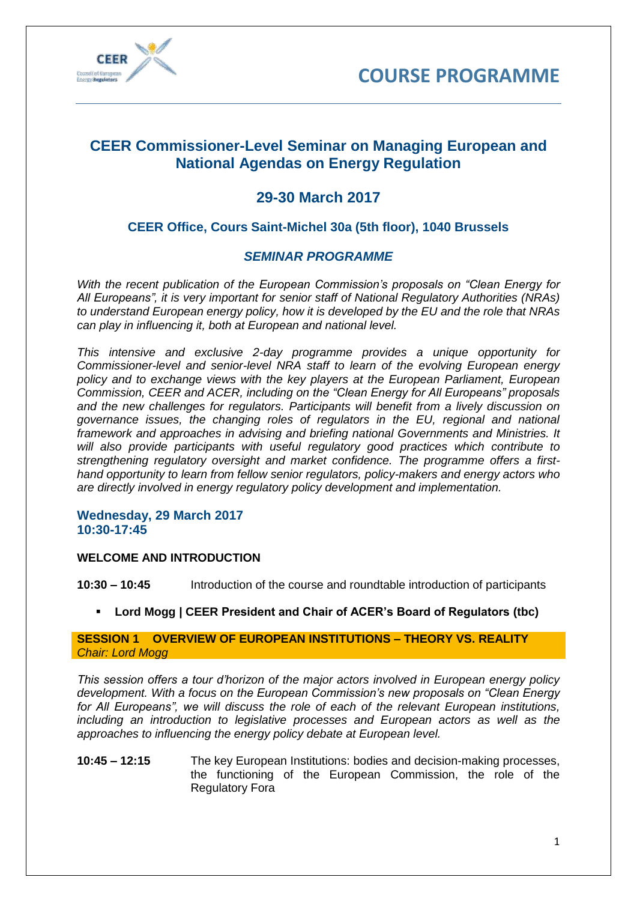



# **CEER Commissioner-Level Seminar on Managing European and National Agendas on Energy Regulation**

# **29-30 March 2017**

# **CEER Office, Cours Saint-Michel 30a (5th floor), 1040 Brussels**

# *SEMINAR PROGRAMME*

*With the recent publication of the European Commission's proposals on "Clean Energy for All Europeans", it is very important for senior staff of National Regulatory Authorities (NRAs) to understand European energy policy, how it is developed by the EU and the role that NRAs can play in influencing it, both at European and national level.*

*This intensive and exclusive 2-day programme provides a unique opportunity for Commissioner-level and senior-level NRA staff to learn of the evolving European energy policy and to exchange views with the key players at the European Parliament, European Commission, CEER and ACER, including on the "Clean Energy for All Europeans" proposals and the new challenges for regulators. Participants will benefit from a lively discussion on governance issues, the changing roles of regulators in the EU, regional and national framework and approaches in advising and briefing national Governments and Ministries. It will also provide participants with useful regulatory good practices which contribute to strengthening regulatory oversight and market confidence. The programme offers a firsthand opportunity to learn from fellow senior regulators, policy-makers and energy actors who are directly involved in energy regulatory policy development and implementation.*

## **Wednesday, 29 March 2017 10:30-17:45**

# **WELCOME AND INTRODUCTION**

**10:30 – 10:45** Introduction of the course and roundtable introduction of participants

**Lord Mogg | CEER President and Chair of ACER's Board of Regulators (tbc)**

# **SESSION 1 OVERVIEW OF EUROPEAN INSTITUTIONS – THEORY VS. REALITY** *Chair: Lord Mogg*

*This session offers a tour d'horizon of the major actors involved in European energy policy development. With a focus on the European Commission's new proposals on "Clean Energy for All Europeans", we will discuss the role of each of the relevant European institutions, including an introduction to legislative processes and European actors as well as the approaches to influencing the energy policy debate at European level.*

**10:45 – 12:15** The key European Institutions: bodies and decision-making processes, the functioning of the European Commission, the role of the Regulatory Fora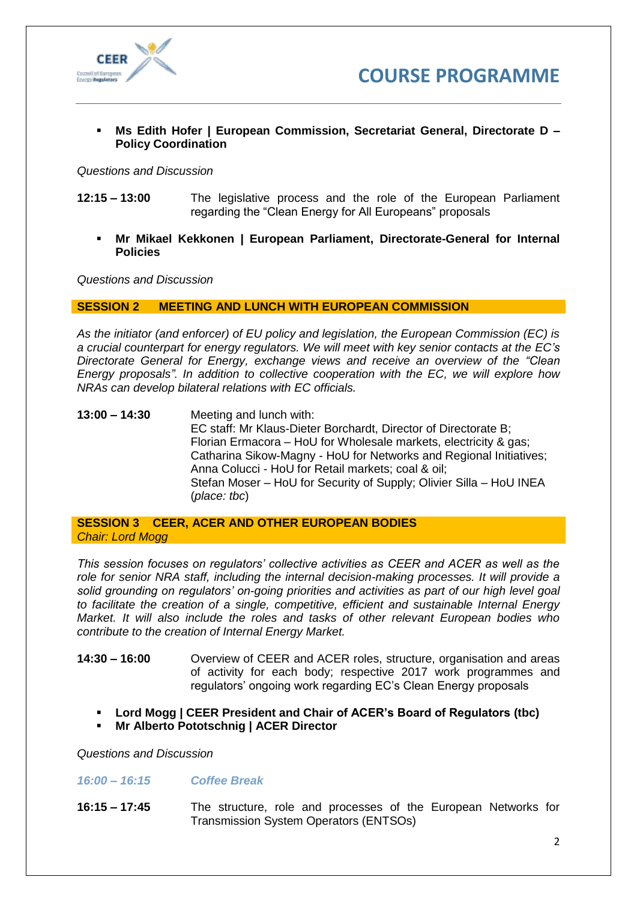



 **Ms Edith Hofer | European Commission, Secretariat General, Directorate D – Policy Coordination**

*Questions and Discussion*

- **12:15 – 13:00** The legislative process and the role of the European Parliament regarding the "Clean Energy for All Europeans" proposals
	- **Mr Mikael Kekkonen | European Parliament, Directorate-General for Internal Policies**

*Questions and Discussion*

#### **SESSION 2 MEETING AND LUNCH WITH EUROPEAN COMMISSION**

*As the initiator (and enforcer) of EU policy and legislation, the European Commission (EC) is a crucial counterpart for energy regulators. We will meet with key senior contacts at the EC's Directorate General for Energy, exchange views and receive an overview of the "Clean Energy proposals". In addition to collective cooperation with the EC, we will explore how NRAs can develop bilateral relations with EC officials.*

**13:00 – 14:30** Meeting and lunch with: EC staff: Mr Klaus-Dieter Borchardt, Director of Directorate B; Florian Ermacora – HoU for Wholesale markets, electricity & gas; Catharina Sikow-Magny - HoU for Networks and Regional Initiatives; Anna Colucci - HoU for Retail markets; coal & oil; Stefan Moser – HoU for Security of Supply; Olivier Silla – HoU INEA (*place: tbc*)

**SESSION 3 CEER, ACER AND OTHER EUROPEAN BODIES** *Chair: Lord Mogg*

*This session focuses on regulators' collective activities as CEER and ACER as well as the role for senior NRA staff, including the internal decision-making processes. It will provide a solid grounding on regulators' on-going priorities and activities as part of our high level goal to facilitate the creation of a single, competitive, efficient and sustainable Internal Energy Market. It will also include the roles and tasks of other relevant European bodies who contribute to the creation of Internal Energy Market.* 

- **14:30 – 16:00** Overview of CEER and ACER roles, structure, organisation and areas of activity for each body; respective 2017 work programmes and regulators' ongoing work regarding EC's Clean Energy proposals
	- **Lord Mogg | CEER President and Chair of ACER's Board of Regulators (tbc)**
	- **Mr Alberto Pototschnig | ACER Director**

*Questions and Discussion*

#### *16:00 – 16:15 Coffee Break*

**16:15 – 17:45** The structure, role and processes of the European Networks for Transmission System Operators (ENTSOs)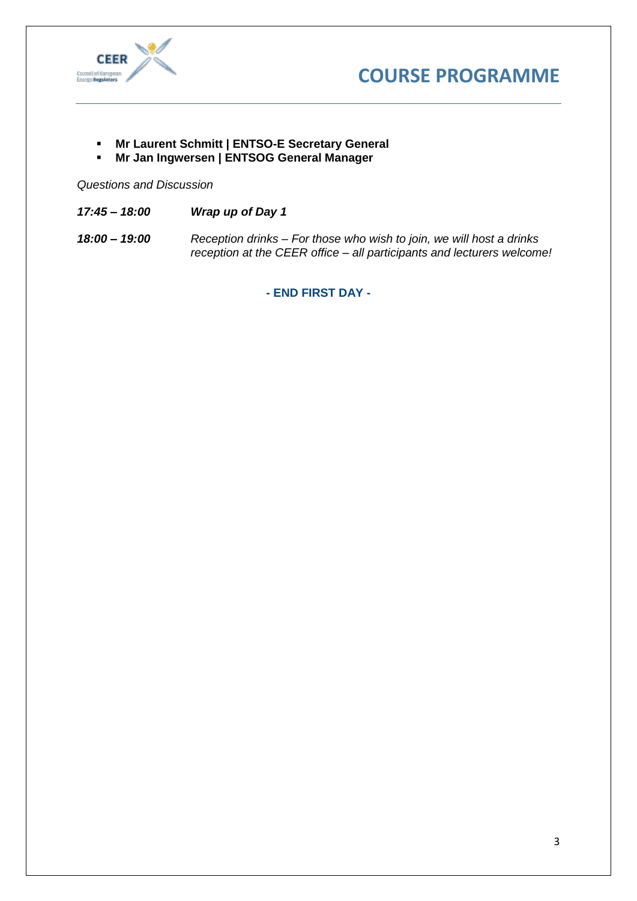



- **Mr Laurent Schmitt | ENTSO-E Secretary General**
- **Mr Jan Ingwersen | ENTSOG General Manager**

*Questions and Discussion*

- *17:45 – 18:00 Wrap up of Day 1*
- *18:00 – 19:00 Reception drinks – For those who wish to join, we will host a drinks reception at the CEER office – all participants and lecturers welcome!*

**- END FIRST DAY -**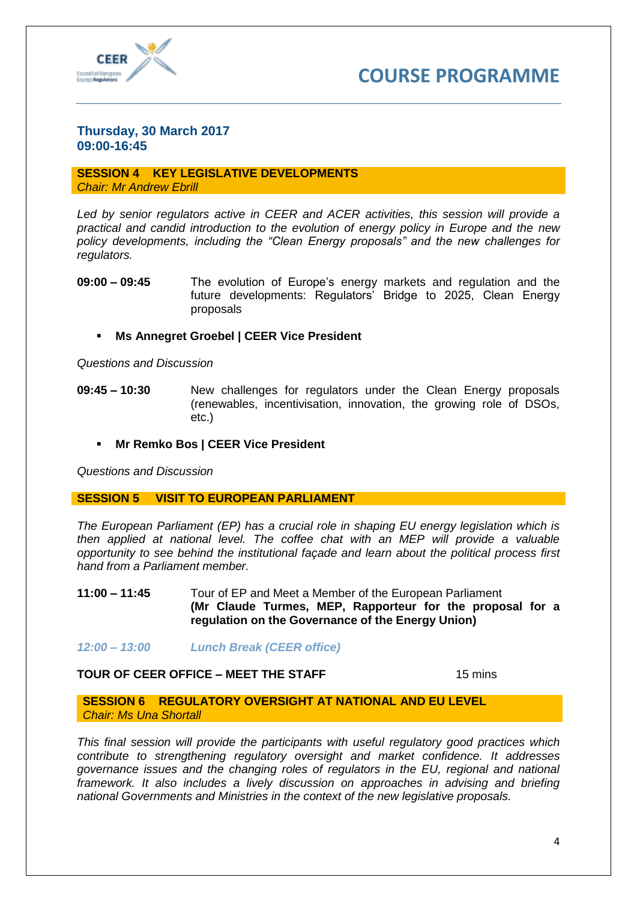



# **Thursday, 30 March 2017 09:00-16:45**

#### **SESSION 4 KEY LEGISLATIVE DEVELOPMENTS** *Chair: Mr Andrew Ebrill*

*Led by senior regulators active in CEER and ACER activities, this session will provide a practical and candid introduction to the evolution of energy policy in Europe and the new policy developments, including the "Clean Energy proposals" and the new challenges for regulators.* 

- **09:00 – 09:45** The evolution of Europe's energy markets and regulation and the future developments: Regulators' Bridge to 2025, Clean Energy proposals
	- **Ms Annegret Groebel | CEER Vice President**

*Questions and Discussion*

- **09:45 – 10:30** New challenges for regulators under the Clean Energy proposals (renewables, incentivisation, innovation, the growing role of DSOs, etc.)
	- **Mr Remko Bos | CEER Vice President**

*Questions and Discussion*

## **SESSION 5 VISIT TO EUROPEAN PARLIAMENT**

*The European Parliament (EP) has a crucial role in shaping EU energy legislation which is then applied at national level. The coffee chat with an MEP will provide a valuable opportunity to see behind the institutional façade and learn about the political process first hand from a Parliament member.* 

- **11:00 – 11:45** Tour of EP and Meet a Member of the European Parliament **(Mr Claude Turmes, MEP, Rapporteur for the proposal for a regulation on the Governance of the Energy Union)**
- *12:00 – 13:00 Lunch Break (CEER office)*

# **TOUR OF CEER OFFICE – MEET THE STAFF** 15 mins

**SESSION 6 REGULATORY OVERSIGHT AT NATIONAL AND EU LEVEL** *Chair: Ms Una Shortall*

*This final session will provide the participants with useful regulatory good practices which contribute to strengthening regulatory oversight and market confidence. It addresses governance issues and the changing roles of regulators in the EU, regional and national framework. It also includes a lively discussion on approaches in advising and briefing national Governments and Ministries in the context of the new legislative proposals.*